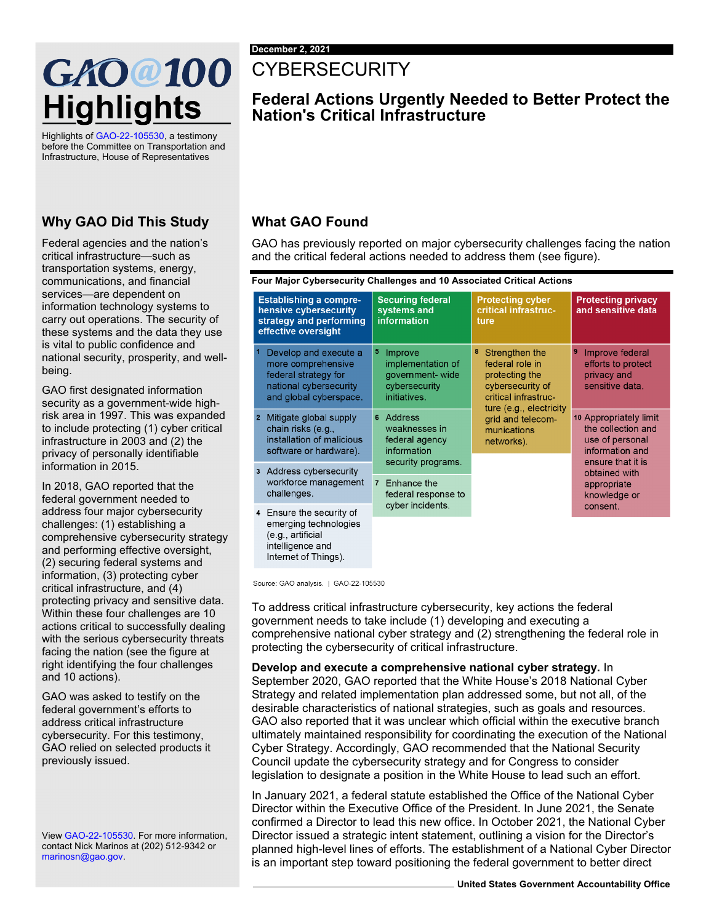# GAO @100 **Highlights**

Highlights o[f GAO-22-105530,](https://www.gao.gov/products/GAO-22-105530) a testimony before the Committee on Transportation and Infrastructure, House of Representatives

#### **Why GAO Did This Study**

Federal agencies and the nation's critical infrastructure—such as transportation systems, energy, communications, and financial services—are dependent on information technology systems to carry out operations. The security of these systems and the data they use is vital to public confidence and national security, prosperity, and wellbeing.

GAO first designated information security as a government-wide highrisk area in 1997. This was expanded to include protecting (1) cyber critical infrastructure in 2003 and (2) the privacy of personally identifiable information in 2015.

In 2018, GAO reported that the federal government needed to address four major cybersecurity challenges: (1) establishing a comprehensive cybersecurity strategy and performing effective oversight, (2) securing federal systems and information, (3) protecting cyber critical infrastructure, and (4) protecting privacy and sensitive data. Within these four challenges are 10 actions critical to successfully dealing with the serious cybersecurity threats facing the nation (see the figure at right identifying the four challenges and 10 actions).

GAO was asked to testify on the federal government's efforts to address critical infrastructure cybersecurity. For this testimony, GAO relied on selected products it previously issued.

Vie[w GAO-22-105530.](https://www.gao.gov/products/GAO-22-105530) For more information, contact Nick Marinos at (202) 512-9342 or [marinosn@gao.gov.](mailto:marinosn@gao.gov)

## **CYBERSECURITY**

### **Federal Actions Urgently Needed to Better Protect the Nation's Critical Infrastructure**

#### **What GAO Found**

GAO has previously reported on major cybersecurity challenges facing the nation and the critical federal actions needed to address them (see figure).

**Four Major Cybersecurity Challenges and 10 Associated Critical Actions**

| <b>Establishing a compre-</b><br>hensive cybersecurity<br>strategy and performing<br>effective oversight |                                                                                                                         | <b>Securing federal</b><br>systems and<br>information                                 | <b>Protecting cyber</b><br><b>critical infrastruc-</b><br>ture                                                                                                                    | <b>Protecting privacy</b><br>and sensitive data                                                                                                         |
|----------------------------------------------------------------------------------------------------------|-------------------------------------------------------------------------------------------------------------------------|---------------------------------------------------------------------------------------|-----------------------------------------------------------------------------------------------------------------------------------------------------------------------------------|---------------------------------------------------------------------------------------------------------------------------------------------------------|
|                                                                                                          | Develop and execute a<br>more comprehensive<br>federal strategy for<br>national cybersecurity<br>and global cyberspace. | 5<br>Improve<br>implementation of<br>government-wide<br>cybersecurity<br>initiatives. | 8<br>Strengthen the<br>federal role in<br>protecting the<br>cybersecurity of<br>critical infrastruc-<br>ture (e.g., electricity<br>grid and telecom-<br>munications<br>networks). | $\overline{9}$<br>Improve federal<br>efforts to protect<br>privacy and<br>sensitive data.                                                               |
|                                                                                                          | 2 Mitigate global supply<br>chain risks (e.g.,<br>installation of malicious<br>software or hardware).                   | <b>Address</b><br>6<br>weaknesses in<br>federal agency<br>information                 |                                                                                                                                                                                   | 10 Appropriately limit<br>the collection and<br>use of personal<br>information and<br>ensure that it is<br>obtained with<br>appropriate<br>knowledge or |
|                                                                                                          | 3 Address cybersecurity<br>workforce management<br>challenges.                                                          | security programs.<br>Enhance the<br>$\overline{7}$<br>federal response to            |                                                                                                                                                                                   |                                                                                                                                                         |
|                                                                                                          | 4 Ensure the security of<br>emerging technologies<br>(e.g., artificial<br>intelligence and<br>Internet of Things).      | cyber incidents.                                                                      |                                                                                                                                                                                   | consent.                                                                                                                                                |

Source: GAO analysis. | GAO-22-105530

To address critical infrastructure cybersecurity, key actions the federal government needs to take include (1) developing and executing a comprehensive national cyber strategy and (2) strengthening the federal role in protecting the cybersecurity of critical infrastructure.

**Develop and execute a comprehensive national cyber strategy.** In September 2020, GAO reported that the White House's 2018 National Cyber Strategy and related implementation plan addressed some, but not all, of the desirable characteristics of national strategies, such as goals and resources. GAO also reported that it was unclear which official within the executive branch ultimately maintained responsibility for coordinating the execution of the National Cyber Strategy. Accordingly, GAO recommended that the National Security Council update the cybersecurity strategy and for Congress to consider legislation to designate a position in the White House to lead such an effort.

In January 2021, a federal statute established the Office of the National Cyber Director within the Executive Office of the President. In June 2021, the Senate confirmed a Director to lead this new office. In October 2021, the National Cyber Director issued a strategic intent statement, outlining a vision for the Director's planned high-level lines of efforts. The establishment of a National Cyber Director is an important step toward positioning the federal government to better direct